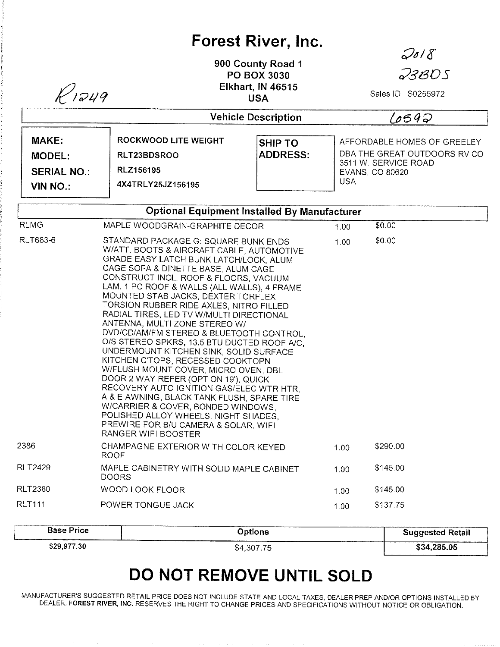## Forest River, lnc.

900 County Road <sup>1</sup> PO BOX 3030 Elkhart, lN 46515

 $2018$ 

23BDS

| $K$ 1249                                                        |                                                                                                                                                                                                                                                                                                                                                                                                                                                                                                                                                                                                                                                                                                                                                                                                                                                                                                                           | <b>Elkhart, IN 46515</b><br><b>USA</b>              |      | Sales ID S0255972                                                                                              |  |  |
|-----------------------------------------------------------------|---------------------------------------------------------------------------------------------------------------------------------------------------------------------------------------------------------------------------------------------------------------------------------------------------------------------------------------------------------------------------------------------------------------------------------------------------------------------------------------------------------------------------------------------------------------------------------------------------------------------------------------------------------------------------------------------------------------------------------------------------------------------------------------------------------------------------------------------------------------------------------------------------------------------------|-----------------------------------------------------|------|----------------------------------------------------------------------------------------------------------------|--|--|
|                                                                 |                                                                                                                                                                                                                                                                                                                                                                                                                                                                                                                                                                                                                                                                                                                                                                                                                                                                                                                           | <b>Vehicle Description</b>                          |      | 6692                                                                                                           |  |  |
| MAKE:<br><b>MODEL:</b><br><b>SERIAL NO.:</b><br><b>VIN NO.:</b> | <b>ROCKWOOD LITE WEIGHT</b><br>RLT23BDSROO<br>RLZ156195<br>4X4TRLY25JZ156195                                                                                                                                                                                                                                                                                                                                                                                                                                                                                                                                                                                                                                                                                                                                                                                                                                              | <b>SHIP TO</b><br><b>ADDRESS:</b>                   |      | AFFORDABLE HOMES OF GREELEY<br>DBA THE GREAT OUTDOORS RV CO<br>3511 W. SERVICE ROAD<br>EVANS, CO 80620<br>USA. |  |  |
|                                                                 |                                                                                                                                                                                                                                                                                                                                                                                                                                                                                                                                                                                                                                                                                                                                                                                                                                                                                                                           | <b>Optional Equipment Installed By Manufacturer</b> |      |                                                                                                                |  |  |
| <b>RLMG</b>                                                     | MAPLE WOODGRAIN-GRAPHITE DECOR                                                                                                                                                                                                                                                                                                                                                                                                                                                                                                                                                                                                                                                                                                                                                                                                                                                                                            |                                                     | 1.00 | \$0.00                                                                                                         |  |  |
| <b>RLT683-6</b>                                                 | STANDARD PACKAGE G: SQUARE BUNK ENDS<br>W/ATT. BOOTS & AIRCRAFT CABLE, AUTOMOTIVE<br>GRADE EASY LATCH BUNK LATCH/LOCK, ALUM<br>CAGE SOFA & DINETTE BASE, ALUM CAGE<br>CONSTRUCT INCL. ROOF & FLOORS, VACUUM<br>LAM. 1 PC ROOF & WALLS (ALL WALLS), 4 FRAME<br>MOUNTED STAB JACKS, DEXTER TORFLEX<br>TORSION RUBBER RIDE AXLES, NITRO FILLED<br>RADIAL TIRES, LED TV W/MULTI DIRECTIONAL<br>ANTENNA, MULTI ZONE STEREO W/<br>DVD/CD/AM/FM STEREO & BLUETOOTH CONTROL,<br>O/S STEREO SPKRS, 13.5 BTU DUCTED ROOF A/C.<br>UNDERMOUNT KITCHEN SINK, SOLID SURFACE<br>KITCHEN C'TOPS, RECESSED COOKTOPN<br>W/FLUSH MOUNT COVER, MICRO OVEN, DBL<br>DOOR 2 WAY REFER (OPT ON 19'), QUICK<br>RECOVERY AUTO IGNITION GAS/ELEC WTR HTR,<br>A & E AWNING, BLACK TANK FLUSH, SPARE TIRE<br>W/CARRIER & COVER, BONDED WINDOWS,<br>POLISHED ALLOY WHEELS, NIGHT SHADES,<br>PREWIRE FOR B/U CAMERA & SOLAR, WIFI<br>RANGER WIFI BOOSTER |                                                     | 1.00 | \$0.00                                                                                                         |  |  |
| 2386                                                            | CHAMPAGNE EXTERIOR WITH COLOR KEYED<br>ROOF                                                                                                                                                                                                                                                                                                                                                                                                                                                                                                                                                                                                                                                                                                                                                                                                                                                                               |                                                     | 1.00 | \$290.00                                                                                                       |  |  |
| <b>RLT2429</b>                                                  | MAPLE CABINETRY WITH SOLID MAPLE CABINET<br><b>DOORS</b>                                                                                                                                                                                                                                                                                                                                                                                                                                                                                                                                                                                                                                                                                                                                                                                                                                                                  |                                                     | 1.00 | \$145.00                                                                                                       |  |  |
| RLT2380                                                         | <b>WOOD LOOK FLOOR</b>                                                                                                                                                                                                                                                                                                                                                                                                                                                                                                                                                                                                                                                                                                                                                                                                                                                                                                    |                                                     | 1.00 | \$145.00                                                                                                       |  |  |
| <b>RLT111</b>                                                   | POWER TONGUE JACK                                                                                                                                                                                                                                                                                                                                                                                                                                                                                                                                                                                                                                                                                                                                                                                                                                                                                                         |                                                     | 1.00 | \$137.75                                                                                                       |  |  |

| <b>Base Price</b> | Options    | <b>Suggested Retail</b> |
|-------------------|------------|-------------------------|
| \$29,977.30       | \$4,307.75 | \$34,285.05             |

## DO NOT REMOVE UNTIL SOLD

MANUFACTURER'S SUGGESTED RETAIL PRICE DOES NOT INCLUDE STATE AND LOCAL TAXES, DEALER PREP AND/OR OPTIONS INSTALLED BY DEALER, FOREST RIVER, INC. RESERVES THE RIGHT TO CHANGE PRICES AND SPECIFICATIONS WITHOUT NOTICE OR OBLIGATION.

and the state of the state of the state